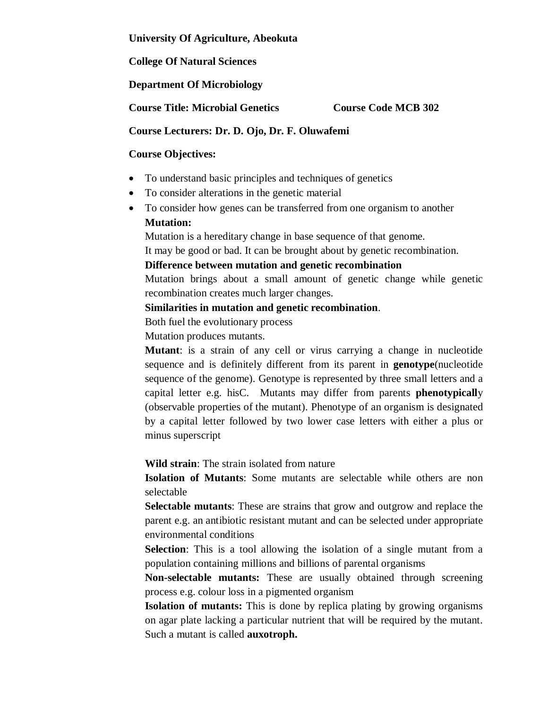**University Of Agriculture, Abeokuta**

**College Of Natural Sciences**

**Department Of Microbiology**

**Course Title: Microbial Genetics Course Code MCB 302**

### **Course Lecturers: Dr. D. Ojo, Dr. F. Oluwafemi**

### **Course Objectives:**

- To understand basic principles and techniques of genetics
- To consider alterations in the genetic material
- To consider how genes can be transferred from one organism to another **Mutation:**

Mutation is a hereditary change in base sequence of that genome.

It may be good or bad. It can be brought about by genetic recombination.

### **Difference between mutation and genetic recombination**

Mutation brings about a small amount of genetic change while genetic recombination creates much larger changes.

### **Similarities in mutation and genetic recombination**.

Both fuel the evolutionary process

Mutation produces mutants.

**Mutant**: is a strain of any cell or virus carrying a change in nucleotide sequence and is definitely different from its parent in **genotype**(nucleotide sequence of the genome). Genotype is represented by three small letters and a capital letter e.g. hisC. Mutants may differ from parents **phenotypicall**y (observable properties of the mutant). Phenotype of an organism is designated by a capital letter followed by two lower case letters with either a plus or minus superscript

**Wild strain**: The strain isolated from nature

**Isolation of Mutants**: Some mutants are selectable while others are non selectable

**Selectable mutants**: These are strains that grow and outgrow and replace the parent e.g. an antibiotic resistant mutant and can be selected under appropriate environmental conditions

**Selection**: This is a tool allowing the isolation of a single mutant from a population containing millions and billions of parental organisms

**Non-selectable mutants:** These are usually obtained through screening process e.g. colour loss in a pigmented organism

**Isolation of mutants:** This is done by replica plating by growing organisms on agar plate lacking a particular nutrient that will be required by the mutant. Such a mutant is called **auxotroph.**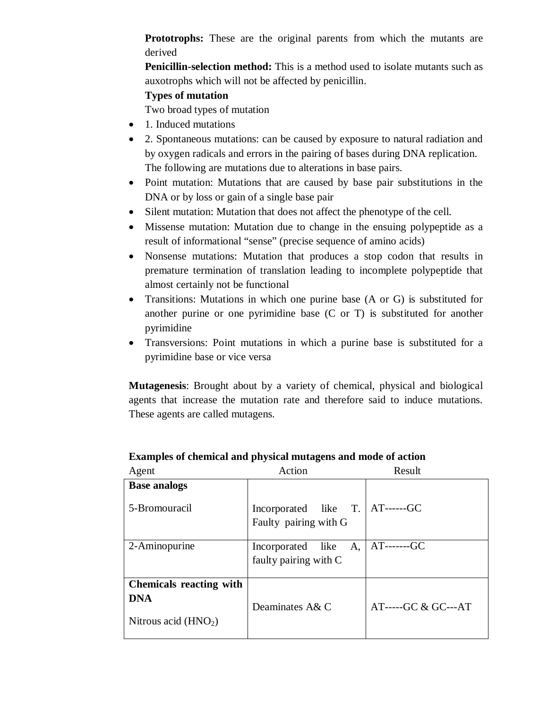**Prototrophs:** These are the original parents from which the mutants are derived

**Penicillin-selection method:** This is a method used to isolate mutants such as auxotrophs which will not be affected by penicillin.

# **Types of mutation**

Two broad types of mutation

- 1. Induced mutations
- 2. Spontaneous mutations: can be caused by exposure to natural radiation and by oxygen radicals and errors in the pairing of bases during DNA replication. The following are mutations due to alterations in base pairs.
- Point mutation: Mutations that are caused by base pair substitutions in the DNA or by loss or gain of a single base pair
- Silent mutation: Mutation that does not affect the phenotype of the cell.
- Missense mutation: Mutation due to change in the ensuing polypeptide as a result of informational "sense" (precise sequence of amino acids)
- Nonsense mutations: Mutation that produces a stop codon that results in premature termination of translation leading to incomplete polypeptide that almost certainly not be functional
- Transitions: Mutations in which one purine base (A or G) is substituted for another purine or one pyrimidine base (C or T) is substituted for another pyrimidine
- Transversions: Point mutations in which a purine base is substituted for a pyrimidine base or vice versa

**Mutagenesis**: Brought about by a variety of chemical, physical and biological agents that increase the mutation rate and therefore said to induce mutations. These agents are called mutagens.

| Agent                                                                 | Action                                                     | Result                        |
|-----------------------------------------------------------------------|------------------------------------------------------------|-------------------------------|
| <b>Base analogs</b><br>5-Bromouracil                                  | Incorporated like T.   AT------GC<br>Faulty pairing with G |                               |
| 2-Aminopurine                                                         | Incorporated like A,<br>faulty pairing with C              | $AT$ ------- $GC$             |
| <b>Chemicals reacting with</b><br><b>DNA</b><br>Nitrous acid $(HNO2)$ | Deaminates A& C                                            | $AT$ ----- $GC & GC$ --- $AT$ |

## **Examples of chemical and physical mutagens and mode of action**